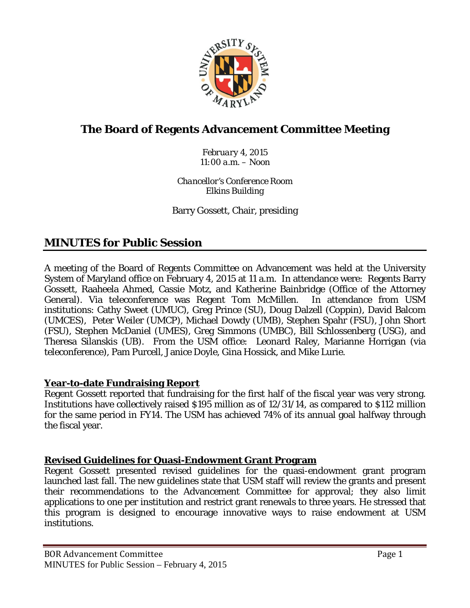

# **The Board of Regents Advancement Committee Meeting**

*February 4, 2015 11:00 a.m. – Noon*

*Chancellor's Conference Room Elkins Building*

Barry Gossett, Chair, presiding

# **MINUTES for Public Session**

A meeting of the Board of Regents Committee on Advancement was held at the University System of Maryland office on February 4, 2015 at 11 a.m. In attendance were: Regents Barry Gossett, Raaheela Ahmed, Cassie Motz, and Katherine Bainbridge (Office of the Attorney General). Via teleconference was Regent Tom McMillen. In attendance from USM institutions: Cathy Sweet (UMUC), Greg Prince (SU), Doug Dalzell (Coppin), David Balcom (UMCES), Peter Weiler (UMCP), Michael Dowdy (UMB), Stephen Spahr (FSU), John Short (FSU), Stephen McDaniel (UMES), Greg Simmons (UMBC), Bill Schlossenberg (USG), and Theresa Silanskis (UB). From the USM office: Leonard Raley, Marianne Horrigan (via teleconference), Pam Purcell, Janice Doyle, Gina Hossick, and Mike Lurie.

## **Year-to-date Fundraising Report**

Regent Gossett reported that fundraising for the first half of the fiscal year was very strong. Institutions have collectively raised \$195 million as of 12/31/14, as compared to \$112 million for the same period in FY14. The USM has achieved 74% of its annual goal halfway through the fiscal year.

## **Revised Guidelines for Quasi-Endowment Grant Program**

Regent Gossett presented revised guidelines for the quasi-endowment grant program launched last fall. The new guidelines state that USM staff will review the grants and present their recommendations to the Advancement Committee for approval; they also limit applications to one per institution and restrict grant renewals to three years. He stressed that this program is designed to encourage innovative ways to raise endowment at USM institutions.